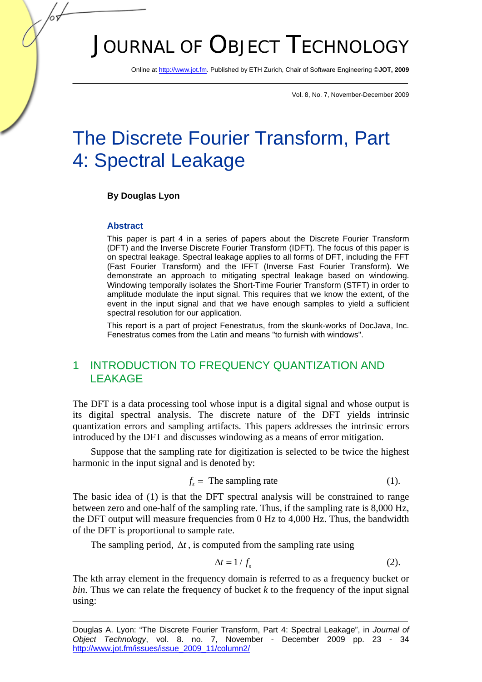# JOURNAL OF OBJECT TECHNOLOGY

Online at http://www.jot.fm. Published by ETH Zurich, Chair of Software Engineering ©**JOT, 2009** 

Vol. 8, No. 7, November-December 2009

# The Discrete Fourier Transform, Part 4: Spectral Leakage

#### **By Douglas Lyon**

#### **Abstract**

This paper is part 4 in a series of papers about the Discrete Fourier Transform (DFT) and the Inverse Discrete Fourier Transform (IDFT). The focus of this paper is on spectral leakage. Spectral leakage applies to all forms of DFT, including the FFT (Fast Fourier Transform) and the IFFT (Inverse Fast Fourier Transform). We demonstrate an approach to mitigating spectral leakage based on windowing. Windowing temporally isolates the Short-Time Fourier Transform (STFT) in order to amplitude modulate the input signal. This requires that we know the extent, of the event in the input signal and that we have enough samples to yield a sufficient spectral resolution for our application.

This report is a part of project Fenestratus, from the skunk-works of DocJava, Inc. Fenestratus comes from the Latin and means "to furnish with windows".

## 1 INTRODUCTION TO FREQUENCY QUANTIZATION AND LEAKAGE

The DFT is a data processing tool whose input is a digital signal and whose output is its digital spectral analysis. The discrete nature of the DFT yields intrinsic quantization errors and sampling artifacts. This papers addresses the intrinsic errors introduced by the DFT and discusses windowing as a means of error mitigation.

Suppose that the sampling rate for digitization is selected to be twice the highest harmonic in the input signal and is denoted by:

$$
f_s = \text{The sampling rate} \tag{1}.
$$

The basic idea of (1) is that the DFT spectral analysis will be constrained to range between zero and one-half of the sampling rate. Thus, if the sampling rate is 8,000 Hz, the DFT output will measure frequencies from 0 Hz to 4,000 Hz. Thus, the bandwidth of the DFT is proportional to sample rate.

The sampling period,  $\Delta t$ , is computed from the sampling rate using

$$
\Delta t = 1/f_s \tag{2}.
$$

The kth array element in the frequency domain is referred to as a frequency bucket or *bin*. Thus we can relate the frequency of bucket  $k$  to the frequency of the input signal using:

Douglas A. Lyon: "The Discrete Fourier Transform, Part 4: Spectral Leakage", in *Journal of Object Technology*, vol. 8. no. 7, November - December 2009 pp. 23 - 34 http://www.jot.fm/issues/issue\_2009\_11/column2/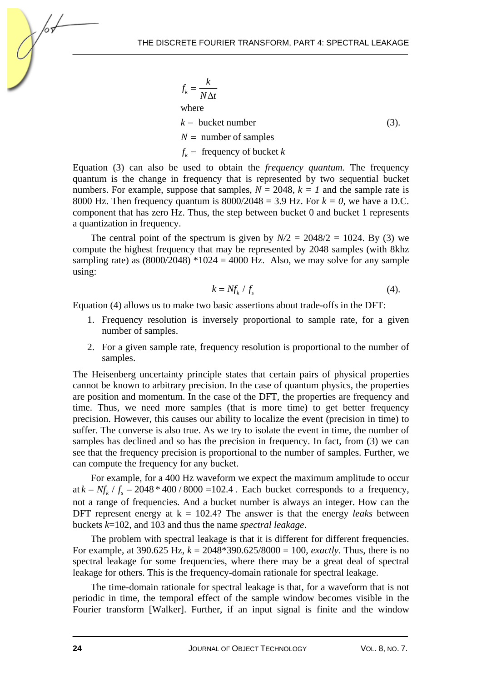$$
f_k = \frac{k}{N\Delta t}
$$
  
where  
 $k$  = bucket number  
 $N$  = number of samples  
 $f_k$  = frequency of bucket  $k$  (3).

Equation (3) can also be used to obtain the *frequency quantum.* The frequency quantum is the change in frequency that is represented by two sequential bucket numbers. For example, suppose that samples,  $N = 2048$ ,  $k = 1$  and the sample rate is 8000 Hz. Then frequency quantum is  $8000/2048 = 3.9$  Hz. For  $k = 0$ , we have a D.C. component that has zero Hz. Thus, the step between bucket 0 and bucket 1 represents a quantization in frequency.

The central point of the spectrum is given by  $N/2 = 2048/2 = 1024$ . By (3) we compute the highest frequency that may be represented by 2048 samples (with 8khz sampling rate) as  $(8000/2048) *1024 = 4000$  Hz. Also, we may solve for any sample using:

$$
k = Nf_k / f_s \tag{4}
$$

Equation (4) allows us to make two basic assertions about trade-offs in the DFT:

- 1. Frequency resolution is inversely proportional to sample rate, for a given number of samples.
- 2. For a given sample rate, frequency resolution is proportional to the number of samples.

The Heisenberg uncertainty principle states that certain pairs of physical properties cannot be known to arbitrary precision. In the case of quantum physics, the properties are position and momentum. In the case of the DFT, the properties are frequency and time. Thus, we need more samples (that is more time) to get better frequency precision. However, this causes our ability to localize the event (precision in time) to suffer. The converse is also true. As we try to isolate the event in time, the number of samples has declined and so has the precision in frequency. In fact, from (3) we can see that the frequency precision is proportional to the number of samples. Further, we can compute the frequency for any bucket.

For example, for a 400 Hz waveform we expect the maximum amplitude to occur at  $k = Nf_k / f_s = 2048 * 400 / 8000 = 102.4$ . Each bucket corresponds to a frequency, not a range of frequencies. And a bucket number is always an integer. How can the DFT represent energy at  $k = 102.4$ ? The answer is that the energy *leaks* between buckets *k*=102, and 103 and thus the name *spectral leakage*.

The problem with spectral leakage is that it is different for different frequencies. For example, at 390.625 Hz, *k* = 2048\*390.625/8000 = 100, *exactly*. Thus, there is no spectral leakage for some frequencies, where there may be a great deal of spectral leakage for others. This is the frequency-domain rationale for spectral leakage.

The time-domain rationale for spectral leakage is that, for a waveform that is not periodic in time, the temporal effect of the sample window becomes visible in the Fourier transform [Walker]. Further, if an input signal is finite and the window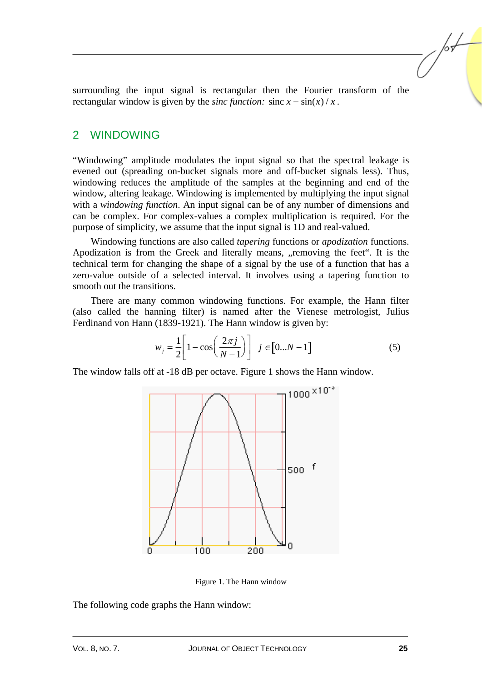surrounding the input signal is rectangular then the Fourier transform of the rectangular window is given by the *sinc function*: sinc  $x = \frac{\sin(x)}{x}$ .

#### 2 WINDOWING

"Windowing" amplitude modulates the input signal so that the spectral leakage is evened out (spreading on-bucket signals more and off-bucket signals less). Thus, windowing reduces the amplitude of the samples at the beginning and end of the window, altering leakage. Windowing is implemented by multiplying the input signal with a *windowing function*. An input signal can be of any number of dimensions and can be complex. For complex-values a complex multiplication is required. For the purpose of simplicity, we assume that the input signal is 1D and real-valued.

Windowing functions are also called *tapering* functions or *apodization* functions. Apodization is from the Greek and literally means, ... removing the feet". It is the technical term for changing the shape of a signal by the use of a function that has a zero-value outside of a selected interval. It involves using a tapering function to smooth out the transitions.

There are many common windowing functions. For example, the Hann filter (also called the hanning filter) is named after the Vienese metrologist, Julius Ferdinand von Hann (1839-1921). The Hann window is given by:

$$
w_j = \frac{1}{2} \left[ 1 - \cos\left(\frac{2\pi j}{N - 1}\right) \right] \quad j \in [0...N - 1]
$$
 (5)

The window falls off at -18 dB per octave. Figure 1 shows the Hann window.



Figure 1. The Hann window

The following code graphs the Hann window: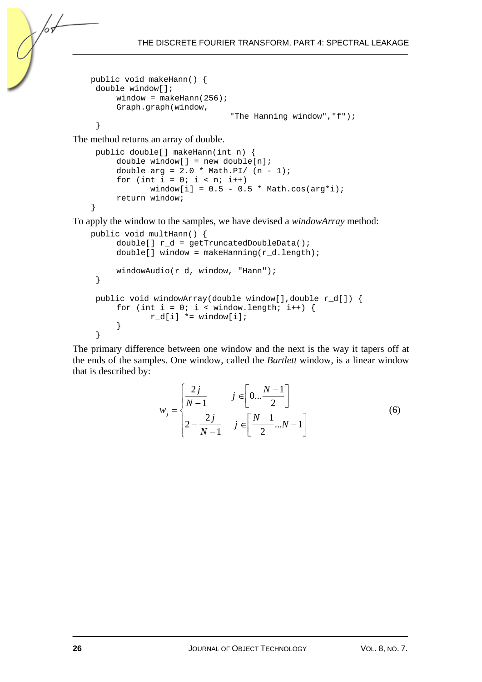```
public void makeHann() { 
  double window[]; 
      window = makethann(256);
       Graph.graph(window, 
                                 "The Hanning window","f"); 
  }
```
The method returns an array of double.

```
 public double[] makeHann(int n) { 
     double window[] = new double[n];
     double arg = 2.0 * Math.PI / (n - 1);for (int i = 0; i < ni; i++)window[i] = 0.5 - 0.5 * Math.cos(arg*i);
      return window; 
}
```
To apply the window to the samples, we have devised a *windowArray* method:

```
public void multHann() { 
     double[] r_d = getTruncatedDoubleData();
     double[] window = makeHanning(r_d.length);
     windowAudio(r d, window, "Hann");
  } 
  public void windowArray(double window[],double r_d[]) { 
     for (int i = 0; i < window.length; i++) {
            r_d[i] *= window[i];
      } 
  }
```
The primary difference between one window and the next is the way it tapers off at the ends of the samples. One window, called the *Bartlett* window, is a linear window that is described by:

$$
w_{j} = \begin{cases} \frac{2j}{N-1} & j \in \left[0...\frac{N-1}{2}\right] \\ 2-\frac{2j}{N-1} & j \in \left[\frac{N-1}{2}...N-1\right] \end{cases}
$$
(6)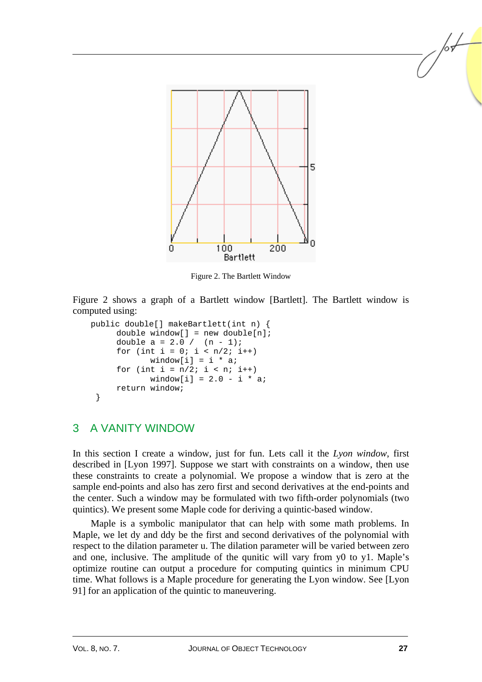

Figure 2. The Bartlett Window

Figure 2 shows a graph of a Bartlett window [Bartlett]. The Bartlett window is computed using:

```
public double[] makeBartlett(int n) { 
     double window[] = new double[n];
     double a = 2.0 / (n - 1);
     for (int i = 0; i < n/2; i++)
            window[i] = i * a;
     for (int i = n/2; i < n; i++)window[i] = 2.0 - i * a;
      return window; 
  }
```
## 3 A VANITY WINDOW

In this section I create a window, just for fun. Lets call it the *Lyon window*, first described in [Lyon 1997]. Suppose we start with constraints on a window, then use these constraints to create a polynomial. We propose a window that is zero at the sample end-points and also has zero first and second derivatives at the end-points and the center. Such a window may be formulated with two fifth-order polynomials (two quintics). We present some Maple code for deriving a quintic-based window.

Maple is a symbolic manipulator that can help with some math problems. In Maple, we let dy and ddy be the first and second derivatives of the polynomial with respect to the dilation parameter u. The dilation parameter will be varied between zero and one, inclusive. The amplitude of the qunitic will vary from y0 to y1. Maple's optimize routine can output a procedure for computing quintics in minimum CPU time. What follows is a Maple procedure for generating the Lyon window. See [Lyon 91] for an application of the quintic to maneuvering.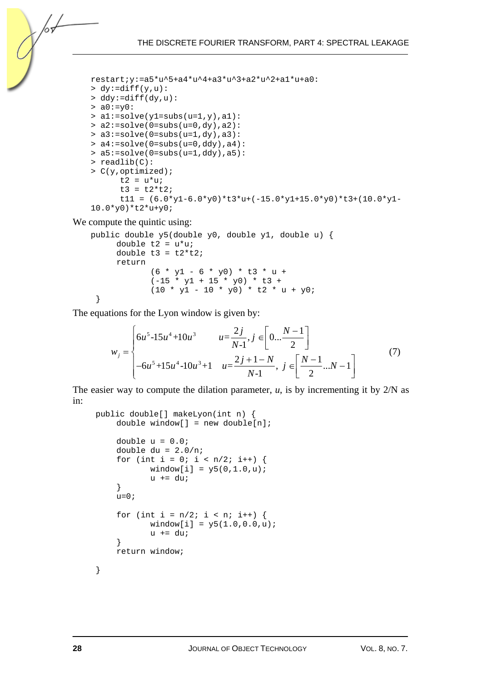```
restart;y:=a5*u^5+a4*u^4+a3*u^3+a2*u^2+a1*u+a0: 
> dy := diff(y, u):
> ddy:=diff(dy,u): 
> a0 := y0:
> a1:=solve(y1=subs(u=1,y),a1): 
> a2 := solve(0 = subs( u = 0, dy), a2):
> a3:=solve(0=subs(u=1,dy),a3): 
> a4:=solve(0=subs(u=0,ddy),a4): 
> a5:=solve(0=subs(u=1,ddy),a5): 
> readlib(C): 
> C(y,optimized); 
      t2 = u * u;
      t3 = t2*t2;t11 = (6.0*y1-6.0*y0)*t3*u+(-15.0*y1+15.0*y0)*t3+(10.0*y1-10.0*y0)*t2*u+y0;
```
We compute the quintic using:

/or

```
public double y5(double y0, double y1, double u) { 
     double t2 = u^*u;
     double t3 = t2*t2;
      return 
             (6 * y1 - 6 * y0) * t3 * u +(-15 * y1 + 15 * y0) * t3 +(10 * y1 - 10 * y0) * t2 * u + y0; }
```
The equations for the Lyon window is given by:

$$
w_{j} = \begin{cases} 6u^{5} - 15u^{4} + 10u^{3} & u = \frac{2j}{N-1}, j \in \left[0... \frac{N-1}{2}\right] \\ -6u^{5} + 15u^{4} - 10u^{3} + 1 & u = \frac{2j+1-N}{N-1}, j \in \left[\frac{N-1}{2}...N-1\right] \end{cases}
$$
(7)

The easier way to compute the dilation parameter,  $u$ , is by incrementing it by  $2/N$  as in:

```
 public double[] makeLyon(int n) { 
    double window[] = new double[n];
    double u = 0.0;
     double du = 2.0/n; 
    for (int i = 0; i < n/2; i++) {
            window[i] = y5(0, 1.0, u);u += du;
     } 
    u=0;for (int i = n/2; i < n; i++) {
            window[i] = y5(1.0, 0.0, u);u += du;
     } 
     return window; 
 }
```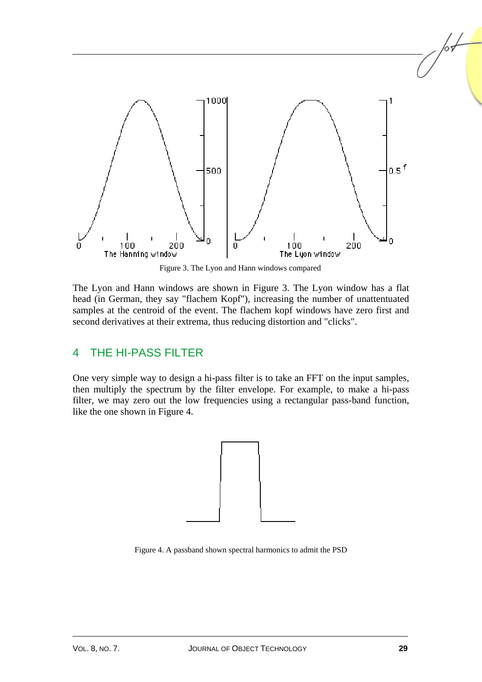

Figure 3. The Lyon and Hann windows compared

The Lyon and Hann windows are shown in Figure 3. The Lyon window has a flat head (in German, they say "flachem Kopf"), increasing the number of unattentuated samples at the centroid of the event. The flachem kopf windows have zero first and second derivatives at their extrema, thus reducing distortion and "clicks".

### 4 THE HI-PASS FILTER

One very simple way to design a hi-pass filter is to take an FFT on the input samples, then multiply the spectrum by the filter envelope. For example, to make a hi-pass filter, we may zero out the low frequencies using a rectangular pass-band function, like the one shown in Figure 4.



Figure 4. A passband shown spectral harmonics to admit the PSD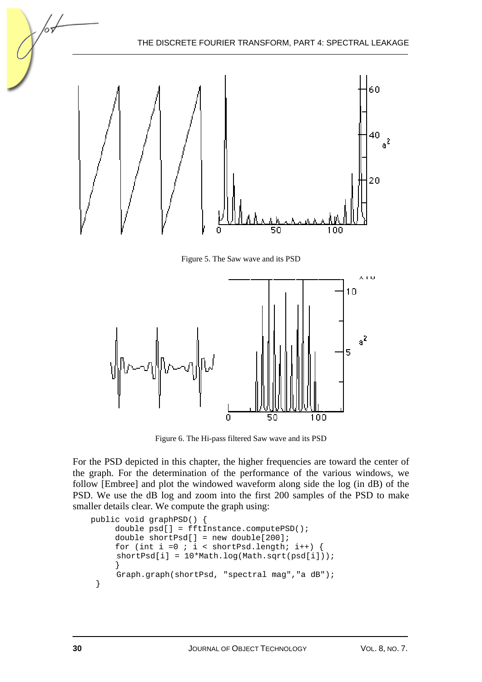

Figure 5. The Saw wave and its PSD



Figure 6. The Hi-pass filtered Saw wave and its PSD

For the PSD depicted in this chapter, the higher frequencies are toward the center of the graph. For the determination of the performance of the various windows, we follow [Embree] and plot the windowed waveform along side the log (in dB) of the PSD. We use the dB log and zoom into the first 200 samples of the PSD to make smaller details clear. We compute the graph using:

```
public void graphPSD() { 
      double psd[] = fftInstance.computePSD(); 
      double shortPsd[] = new double[200]; 
     for (int i =0 ; i < shortPsd.length; i++) {
      shortPsd[i] = 10*Math.log(Math.sqrt(psd[i])); 
 } 
      Graph.graph(shortPsd, "spectral mag","a dB"); 
  }
```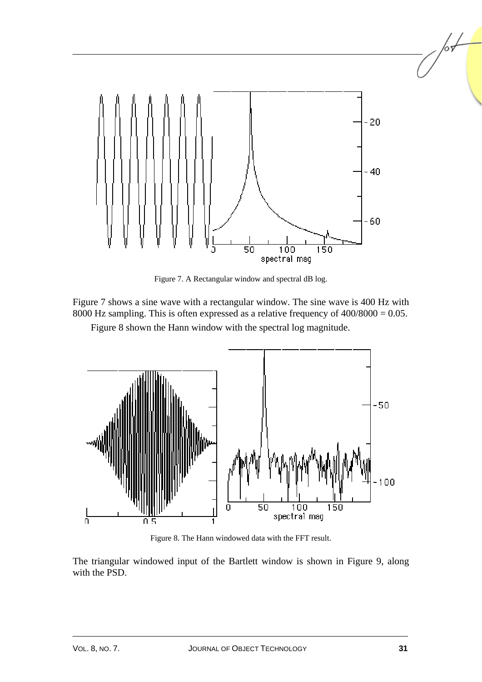

Figure 7. A Rectangular window and spectral dB log.

Figure 7 shows a sine wave with a rectangular window. The sine wave is 400 Hz with 8000 Hz sampling. This is often expressed as a relative frequency of 400/8000 = 0.05.

Figure 8 shown the Hann window with the spectral log magnitude.



Figure 8. The Hann windowed data with the FFT result.

The triangular windowed input of the Bartlett window is shown in Figure 9, along with the PSD.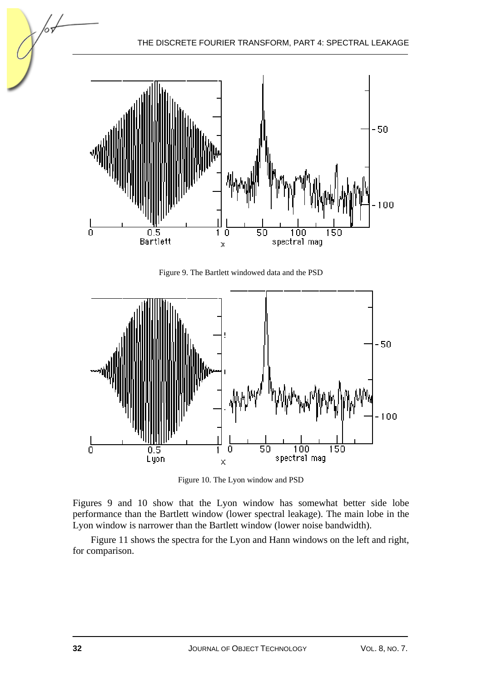

Figure 9. The Bartlett windowed data and the PSD



Figure 10. The Lyon window and PSD

Figures 9 and 10 show that the Lyon window has somewhat better side lobe performance than the Bartlett window (lower spectral leakage). The main lobe in the Lyon window is narrower than the Bartlett window (lower noise bandwidth).

Figure 11 shows the spectra for the Lyon and Hann windows on the left and right, for comparison.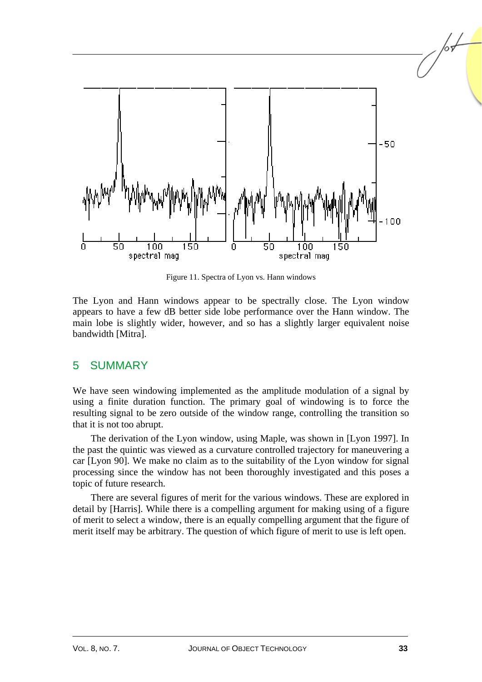

Figure 11. Spectra of Lyon vs. Hann windows

The Lyon and Hann windows appear to be spectrally close. The Lyon window appears to have a few dB better side lobe performance over the Hann window. The main lobe is slightly wider, however, and so has a slightly larger equivalent noise bandwidth [Mitra].

### 5 SUMMARY

We have seen windowing implemented as the amplitude modulation of a signal by using a finite duration function. The primary goal of windowing is to force the resulting signal to be zero outside of the window range, controlling the transition so that it is not too abrupt.

The derivation of the Lyon window, using Maple, was shown in [Lyon 1997]. In the past the quintic was viewed as a curvature controlled trajectory for maneuvering a car [Lyon 90]. We make no claim as to the suitability of the Lyon window for signal processing since the window has not been thoroughly investigated and this poses a topic of future research.

There are several figures of merit for the various windows. These are explored in detail by [Harris]. While there is a compelling argument for making using of a figure of merit to select a window, there is an equally compelling argument that the figure of merit itself may be arbitrary. The question of which figure of merit to use is left open.